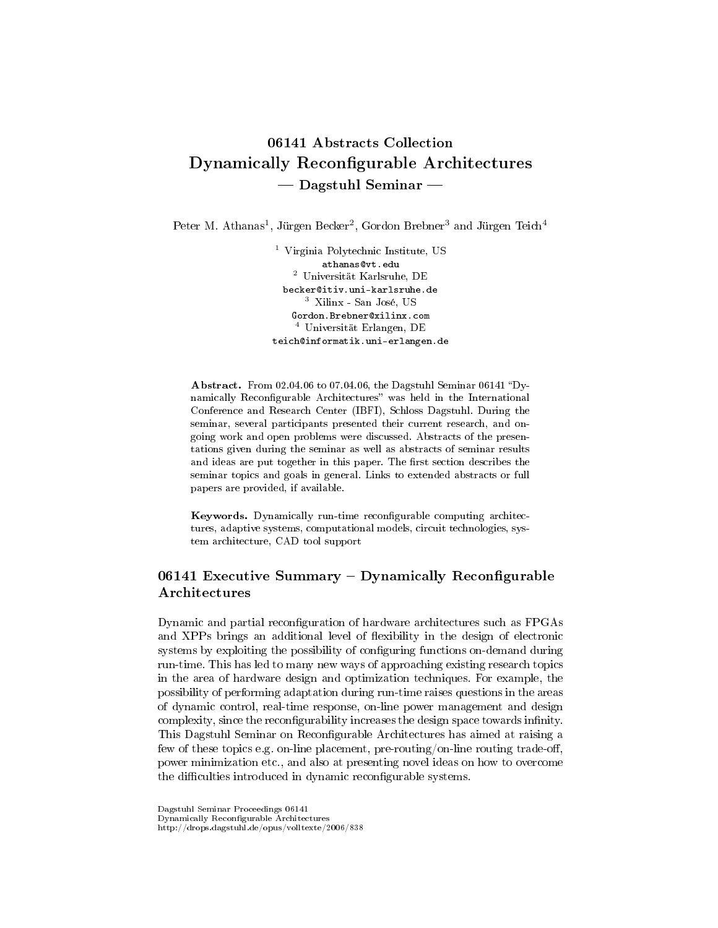# 06141 Abstracts Collection Dynamically Reconfigurable Architectures  $-$  Dagstuhl Seminar  $-$

Peter M. Athanas<sup>1</sup>, Jürgen Becker<sup>2</sup>, Gordon Brebner<sup>3</sup> and Jürgen Teich<sup>4</sup>

<sup>1</sup> Virginia Polytechnic Institute, US athanas@vt.edu <sup>2</sup> Universität Karlsruhe, DE becker@itiv.uni-karlsruhe.de <sup>3</sup> Xilinx - San José, US Gordon.Brebner@xilinx.com <sup>4</sup> Universität Erlangen, DE teich@informatik.uni-erlangen.de

Abstract. From 02.04.06 to 07.04.06, the Dagstuhl Seminar 06141 "Dynamically Reconfigurable Architectures" was held in the International Conference and Research Center (IBFI), Schloss Dagstuhl. During the seminar, several participants presented their current research, and ongoing work and open problems were discussed. Abstracts of the presentations given during the seminar as well as abstracts of seminar results and ideas are put together in this paper. The first section describes the seminar topics and goals in general. Links to extended abstracts or full papers are provided, if available.

Keywords. Dynamically run-time reconfigurable computing architectures, adaptive systems, computational models, circuit technologies, system architecture, CAD tool support

# 06141 Executive Summary  $-$  Dynamically Reconfigurable Architectures

Dynamic and partial reconfiguration of hardware architectures such as FPGAs and XPPs brings an additional level of flexibility in the design of electronic systems by exploiting the possibility of configuring functions on-demand during run-time. This has led to many new ways of approaching existing research topics in the area of hardware design and optimization techniques. For example, the possibility of performing adaptation during run-time raises questions in the areas of dynamic control, real-time response, on-line power management and design complexity, since the reconfigurability increases the design space towards infinity. This Dagstuhl Seminar on Reconfigurable Architectures has aimed at raising a few of these topics e.g. on-line placement, pre-routing/on-line routing trade-off, power minimization etc., and also at presenting novel ideas on how to overcome the difficulties introduced in dynamic reconfigurable systems.

Dagstuhl Seminar Proceedings 06141 Dynamically Reconfigurable Architectures http://drops.dagstuhl.de/opus/volltexte/2006/838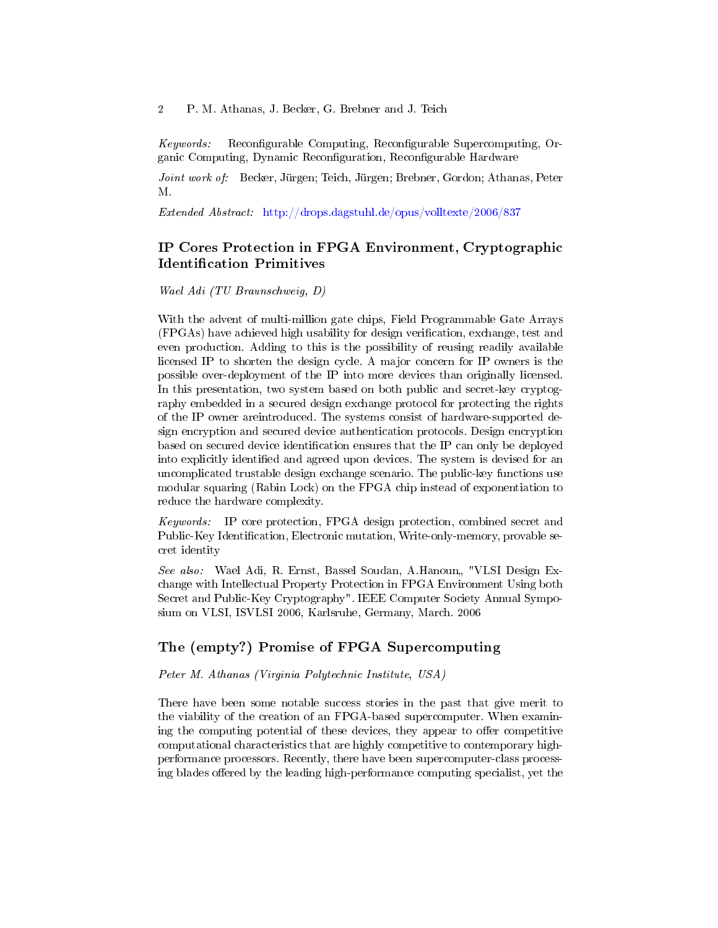Keywords: Reconfigurable Computing, Reconfigurable Supercomputing, Organic Computing, Dynamic Reconfiguration, Reconfigurable Hardware

Joint work of: Becker, Jürgen; Teich, Jürgen; Brebner, Gordon; Athanas, Peter M.

Extended Abstract: <http://drops.dagstuhl.de/opus/volltexte/2006/837>

### IP Cores Protection in FPGA Environment, Cryptographic **Identification Primitives**

Wael Adi (TU Braunschweig, D)

With the advent of multi-million gate chips, Field Programmable Gate Arrays (FPGAs) have achieved high usability for design verification, exchange, test and even production. Adding to this is the possibility of reusing readily available licensed IP to shorten the design cycle. A major concern for IP owners is the possible over-deployment of the IP into more devices than originally licensed. In this presentation, two system based on both public and secret-key cryptography embedded in a secured design exchange protocol for protecting the rights of the IP owner areintroduced. The systems consist of hardware-supported design encryption and secured device authentication protocols. Design encryption based on secured device identification ensures that the IP can only be deployed into explicitly identified and agreed upon devices. The system is devised for an uncomplicated trustable design exchange scenario. The public-key functions use modular squaring (Rabin Lock) on the FPGA chip instead of exponentiation to reduce the hardware complexity.

Keywords: IP core protection, FPGA design protection, combined secret and Public-Key Identification, Electronic mutation, Write-only-memory, provable secret identity

See also: Wael Adi, R. Ernst, Bassel Soudan, A.Hanoun, "VLSI Design Exchange with Intellectual Property Protection in FPGA Environment Using both Secret and Public-Key Cryptography". IEEE Computer Society Annual Symposium on VLSI, ISVLSI 2006, Karlsruhe, Germany, March. 2006

### The (empty?) Promise of FPGA Supercomputing

Peter M. Athanas (Virginia Polytechnic Institute, USA)

There have been some notable success stories in the past that give merit to the viability of the creation of an FPGA-based supercomputer. When examining the computing potential of these devices, they appear to offer competitive computational characteristics that are highly competitive to contemporary highperformance processors. Recently, there have been supercomputer-class processing blades offered by the leading high-performance computing specialist, yet the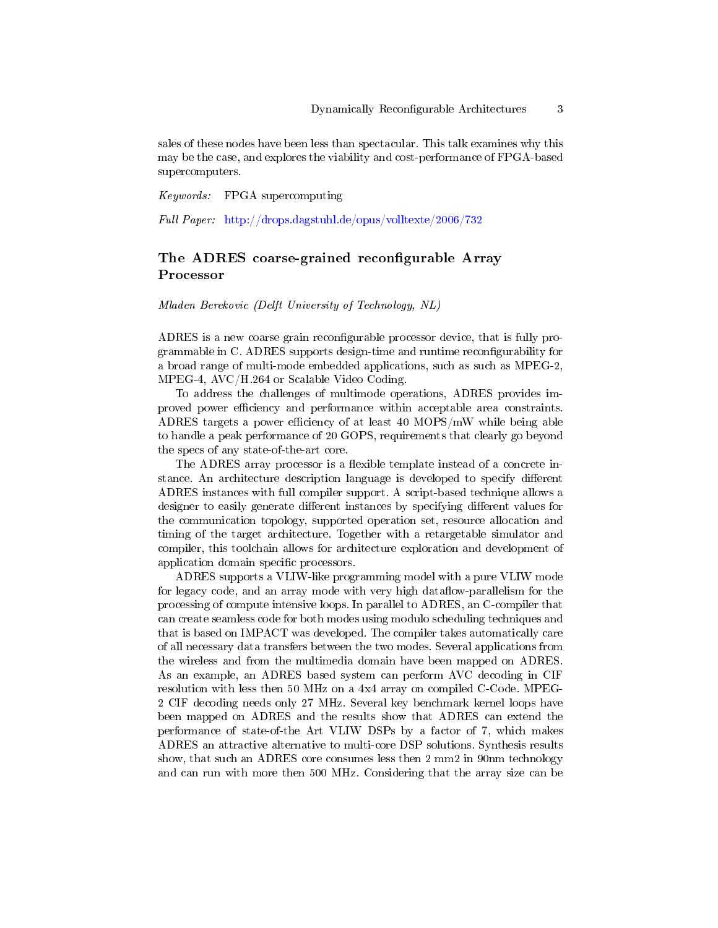sales of these nodes have been less than spectacular. This talk examines why this may be the case, and explores the viability and cost-performance of FPGA-based supercomputers.

Keywords: FPGA supercomputing

Full Paper: <http://drops.dagstuhl.de/opus/volltexte/2006/732>

# The ADRES coarse-grained reconfigurable Array Processor

Mladen Berekovic (Delft University of Technology, NL)

ADRES is a new coarse grain reconfigurable processor device, that is fully programmable in C. ADRES supports design-time and runtime recongurability for a broad range of multi-mode embedded applications, such as such as MPEG-2, MPEG-4, AVC/H.264 or Scalable Video Coding.

To address the challenges of multimode operations, ADRES provides improved power efficiency and performance within acceptable area constraints. ADRES targets a power efficiency of at least 40 MOPS/mW while being able to handle a peak performance of 20 GOPS, requirements that clearly go beyond the specs of any state-of-the-art core.

The ADRES array processor is a flexible template instead of a concrete instance. An architecture description language is developed to specify different ADRES instances with full compiler support. A script-based technique allows a designer to easily generate different instances by specifying different values for the communication topology, supported operation set, resource allocation and timing of the target architecture. Together with a retargetable simulator and compiler, this toolchain allows for architecture exploration and development of application domain specific processors.

ADRES supports a VLIW-like programming model with a pure VLIW mode for legacy code, and an array mode with very high dataflow-parallelism for the processing of compute intensive loops. In parallel to ADRES, an C-compiler that can create seamless code for both modes using modulo scheduling techniques and that is based on IMPACT was developed. The compiler takes automatically care of all necessary data transfers between the two modes. Several applications from the wireless and from the multimedia domain have been mapped on ADRES. As an example, an ADRES based system can perform AVC decoding in CIF resolution with less then 50 MHz on a 4x4 array on compiled C-Code. MPEG-2 CIF decoding needs only 27 MHz. Several key benchmark kernel loops have been mapped on ADRES and the results show that ADRES can extend the performance of state-of-the Art VLIW DSPs by a factor of 7, which makes ADRES an attractive alternative to multi-core DSP solutions. Synthesis results show, that such an ADRES core consumes less then 2 mm2 in 90nm technology and can run with more then 500 MHz. Considering that the array size can be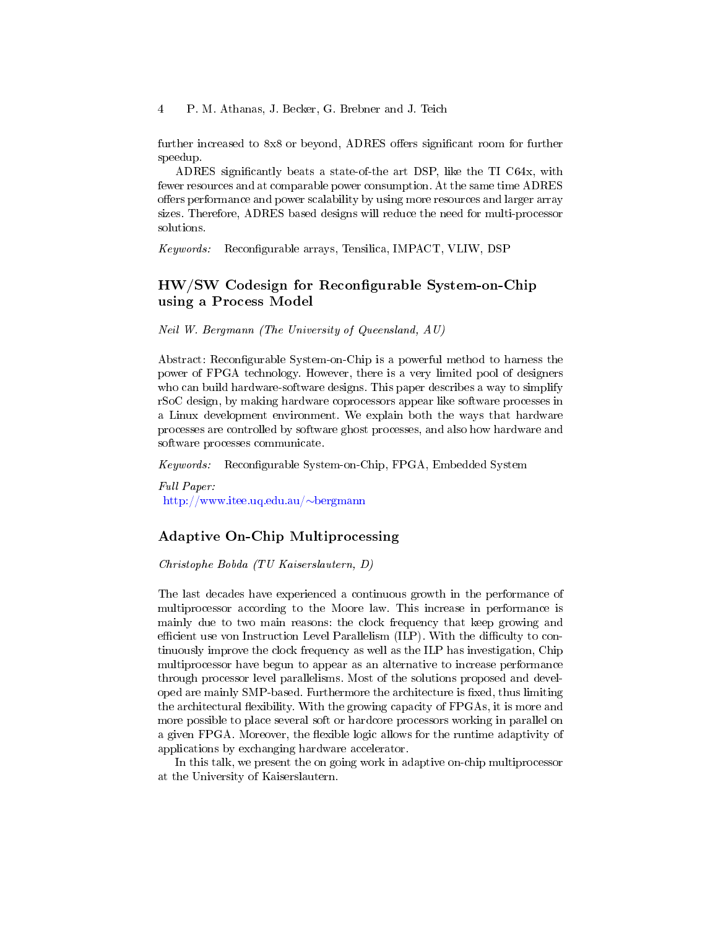further increased to 8x8 or beyond, ADRES offers significant room for further speedup.

ADRES signicantly beats a state-of-the art DSP, like the TI C64x, with fewer resources and at comparable power consumption. At the same time ADRES offers performance and power scalability by using more resources and larger array sizes. Therefore, ADRES based designs will reduce the need for multi-processor solutions.

Keywords: Reconfigurable arrays, Tensilica, IMPACT, VLIW, DSP

### $HW/SW$  Codesign for Reconfigurable System-on-Chip using a Process Model

Neil W. Bergmann (The University of Queensland, AU)

Abstract: Reconfigurable System-on-Chip is a powerful method to harness the power of FPGA technology. However, there is a very limited pool of designers who can build hardware-software designs. This paper describes a way to simplify rSoC design, by making hardware coprocessors appear like software processes in a Linux development environment. We explain both the ways that hardware processes are controlled by software ghost processes, and also how hardware and software processes communicate.

Keywords: Reconfigurable System-on-Chip, FPGA, Embedded System

Full Paper: [http://www.itee.uq.edu.au/](http://www.itee.uq.edu.au/~bergmann)∼bergmann

#### Adaptive On-Chip Multiprocessing

Christophe Bobda (TU Kaiserslautern, D)

The last decades have experienced a continuous growth in the performance of multiprocessor according to the Moore law. This increase in performance is mainly due to two main reasons: the clock frequency that keep growing and efficient use von Instruction Level Parallelism (ILP). With the difficulty to continuously improve the clock frequency as well as the ILP has investigation, Chip multiprocessor have begun to appear as an alternative to increase performance through processor level parallelisms. Most of the solutions proposed and developed are mainly SMP-based. Furthermore the architecture is fixed, thus limiting the architectural flexibility. With the growing capacity of FPGAs, it is more and more possible to place several soft or hardcore processors working in parallel on a given FPGA. Moreover, the flexible logic allows for the runtime adaptivity of applications by exchanging hardware accelerator.

In this talk, we present the on going work in adaptive on-chip multiprocessor at the University of Kaiserslautern.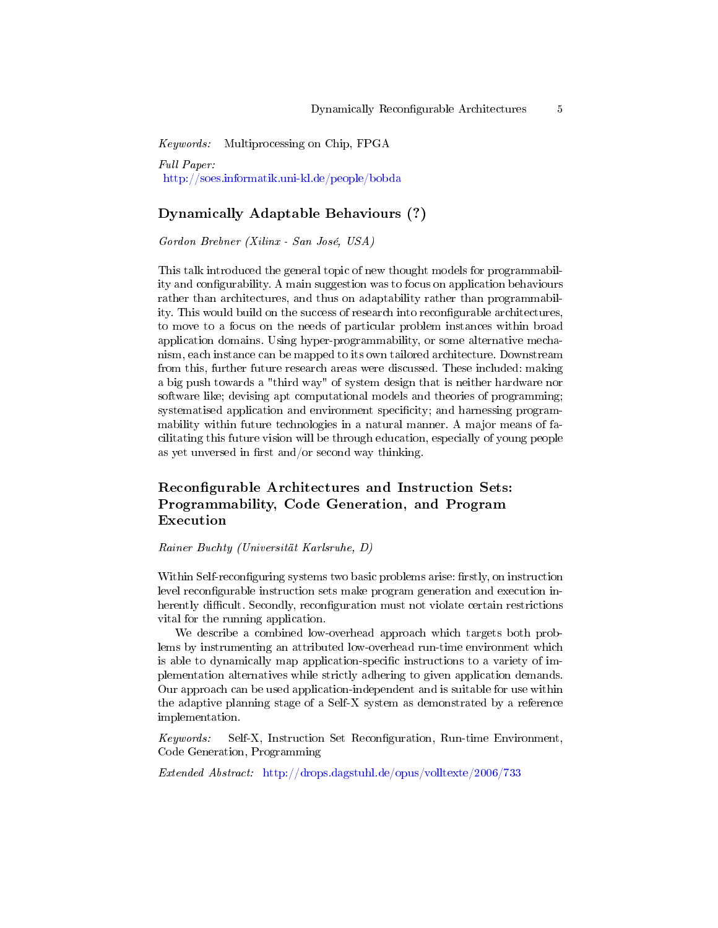Keywords: Multiprocessing on Chip, FPGA

Full Paper: <http://soes.informatik.uni-kl.de/people/bobda>

#### Dynamically Adaptable Behaviours (?)

Gordon Brebner (Xilinx - San José, USA)

This talk introduced the general topic of new thought models for programmability and configurability. A main suggestion was to focus on application behaviours rather than architectures, and thus on adaptability rather than programmability. This would build on the success of research into recongurable architectures, to move to a focus on the needs of particular problem instances within broad application domains. Using hyper-programmability, or some alternative mechanism, each instance can be mapped to its own tailored architecture. Downstream from this, further future research areas were discussed. These included: making a big push towards a "third way" of system design that is neither hardware nor software like; devising apt computational models and theories of programming; systematised application and environment specificity; and harnessing programmability within future technologies in a natural manner. A major means of facilitating this future vision will be through education, especially of young people as yet unversed in first and/or second way thinking.

# Reconfigurable Architectures and Instruction Sets: Programmability, Code Generation, and Program Execution

#### Rainer Buchty (Universität Karlsruhe, D)

Within Self-reconfiguring systems two basic problems arise: firstly, on instruction level reconfigurable instruction sets make program generation and execution inherently difficult. Secondly, reconfiguration must not violate certain restrictions vital for the running application.

We describe a combined low-overhead approach which targets both problems by instrumenting an attributed low-overhead run-time environment which is able to dynamically map application-specific instructions to a variety of implementation alternatives while strictly adhering to given application demands. Our approach can be used application-independent and is suitable for use within the adaptive planning stage of a Self-X system as demonstrated by a reference implementation.

Keywords: Self-X, Instruction Set Reconfiguration, Run-time Environment, Code Generation, Programming

Extended Abstract: <http://drops.dagstuhl.de/opus/volltexte/2006/733>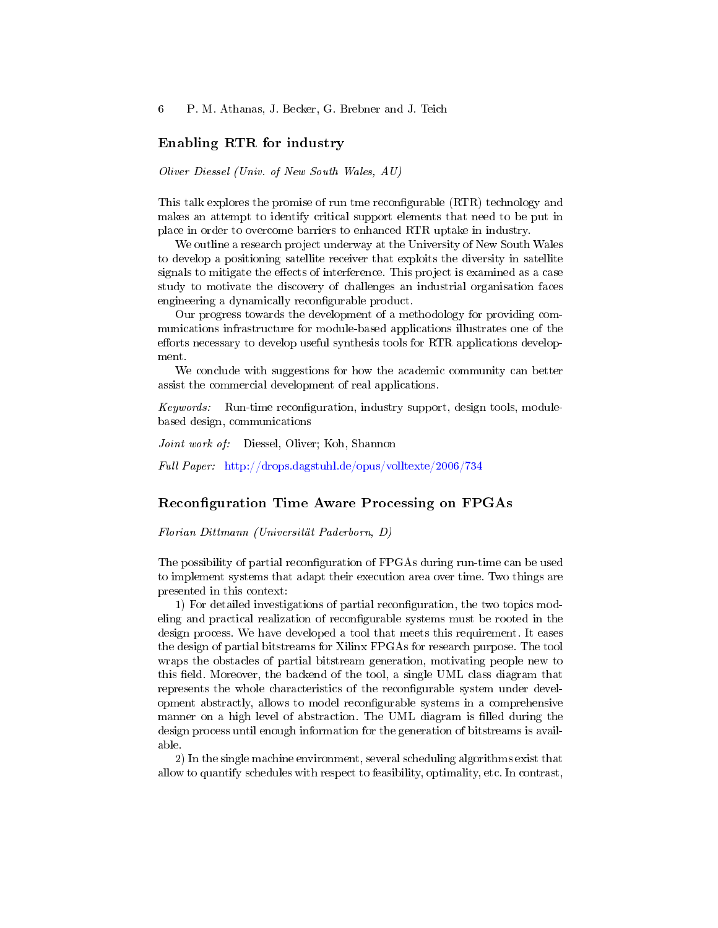#### Enabling RTR for industry

Oliver Diessel (Univ. of New South Wales, AU)

This talk explores the promise of run tme reconfigurable (RTR) technology and makes an attempt to identify critical support elements that need to be put in place in order to overcome barriers to enhanced RTR uptake in industry.

We outline a research project underway at the University of New South Wales to develop a positioning satellite receiver that exploits the diversity in satellite signals to mitigate the effects of interference. This project is examined as a case study to motivate the discovery of challenges an industrial organisation faces engineering a dynamically reconfigurable product.

Our progress towards the development of a methodology for providing communications infrastructure for module-based applications illustrates one of the efforts necessary to develop useful synthesis tools for RTR applications development.

We conclude with suggestions for how the academic community can better assist the commercial development of real applications.

Keywords: Run-time reconfiguration, industry support, design tools, modulebased design, communications

Joint work of: Diessel, Oliver; Koh, Shannon

Full Paper: <http://drops.dagstuhl.de/opus/volltexte/2006/734>

#### Reconfiguration Time Aware Processing on FPGAs

Florian Dittmann (Universität Paderborn, D)

The possibility of partial reconfiguration of FPGAs during run-time can be used to implement systems that adapt their execution area over time. Two things are presented in this context:

1) For detailed investigations of partial reconfiguration, the two topics modeling and practical realization of reconfigurable systems must be rooted in the design process. We have developed a tool that meets this requirement. It eases the design of partial bitstreams for Xilinx FPGAs for research purpose. The tool wraps the obstacles of partial bitstream generation, motivating people new to this field. Moreover, the backend of the tool, a single UML class diagram that represents the whole characteristics of the reconfigurable system under development abstractly, allows to model reconfigurable systems in a comprehensive manner on a high level of abstraction. The UML diagram is filled during the design process until enough information for the generation of bitstreams is available.

2) In the single machine environment, several scheduling algorithms exist that allow to quantify schedules with respect to feasibility, optimality, etc. In contrast,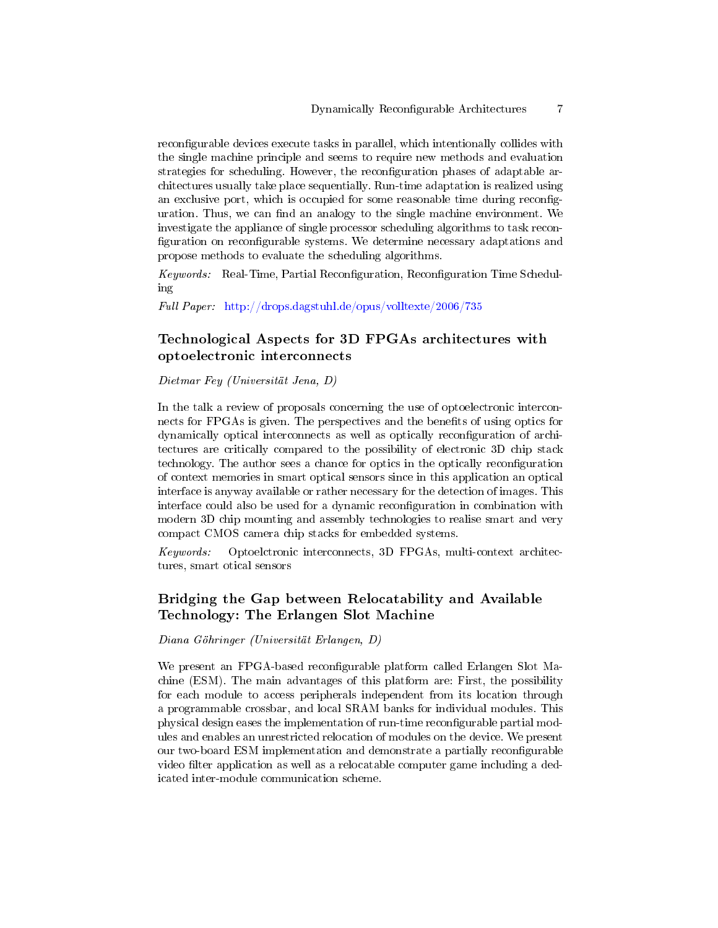reconfigurable devices execute tasks in parallel, which intentionally collides with the single machine principle and seems to require new methods and evaluation strategies for scheduling. However, the reconfiguration phases of adaptable architectures usually take place sequentially. Run-time adaptation is realized using an exclusive port, which is occupied for some reasonable time during reconguration. Thus, we can find an analogy to the single machine environment. We investigate the appliance of single processor scheduling algorithms to task recon figuration on reconfigurable systems. We determine necessary adaptations and propose methods to evaluate the scheduling algorithms.

 $Keywords:$  Real-Time, Partial Reconfiguration, Reconfiguration Time Scheduling

Full Paper: <http://drops.dagstuhl.de/opus/volltexte/2006/735>

# Technological Aspects for 3D FPGAs architectures with optoelectronic interconnects

Dietmar Fey (Universität Jena, D)

In the talk a review of proposals concerning the use of optoelectronic interconnects for FPGAs is given. The perspectives and the benefits of using optics for dynamically optical interconnects as well as optically reconguration of architectures are critically compared to the possibility of electronic 3D chip stack technology. The author sees a chance for optics in the optically reconfiguration of context memories in smart optical sensors since in this application an optical interface is anyway available or rather necessary for the detection of images. This interface could also be used for a dynamic reconfiguration in combination with modern 3D chip mounting and assembly technologies to realise smart and very compact CMOS camera chip stacks for embedded systems.

Keywords: Optoelctronic interconnects, 3D FPGAs, multi-context architectures, smart otical sensors

# Bridging the Gap between Relocatability and Available Technology: The Erlangen Slot Machine

Diana Göhringer (Universität Erlangen, D)

We present an FPGA-based reconfigurable platform called Erlangen Slot Machine (ESM). The main advantages of this platform are: First, the possibility for each module to access peripherals independent from its location through a programmable crossbar, and local SRAM banks for individual modules. This physical design eases the implementation of run-time recongurable partial modules and enables an unrestricted relocation of modules on the device. We present our two-board ESM implementation and demonstrate a partially reconfigurable video filter application as well as a relocatable computer game including a dedicated inter-module communication scheme.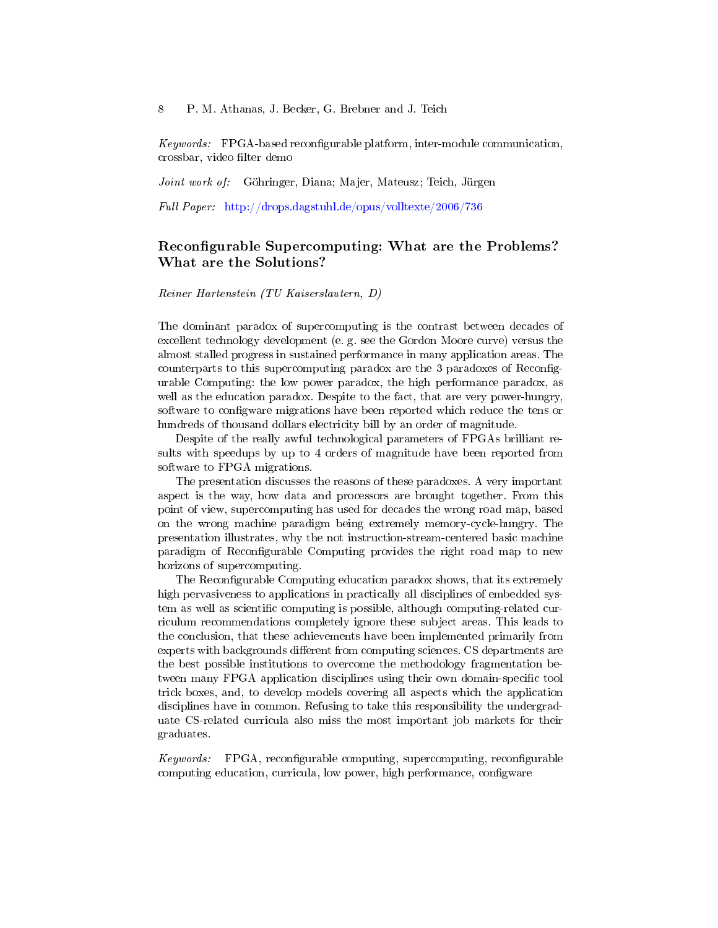Keywords: FPGA-based reconfigurable platform, inter-module communication, crossbar, video filter demo

Joint work of: Göhringer, Diana; Majer, Mateusz; Teich, Jürgen

Full Paper: <http://drops.dagstuhl.de/opus/volltexte/2006/736>

# Reconfigurable Supercomputing: What are the Problems? What are the Solutions?

Reiner Hartenstein (TU Kaiserslautern, D)

The dominant paradox of supercomputing is the contrast between decades of excellent technology development (e. g. see the Gordon Moore curve) versus the almost stalled progress in sustained performance in many application areas. The counterparts to this supercomputing paradox are the 3 paradoxes of Recongurable Computing: the low power paradox, the high performance paradox, as well as the education paradox. Despite to the fact, that are very power-hungry, software to configware migrations have been reported which reduce the tens or hundreds of thousand dollars electricity bill by an order of magnitude.

Despite of the really awful technological parameters of FPGAs brilliant results with speedups by up to 4 orders of magnitude have been reported from software to FPGA migrations.

The presentation discusses the reasons of these paradoxes. A very important aspect is the way, how data and processors are brought together. From this point of view, supercomputing has used for decades the wrong road map, based on the wrong machine paradigm being extremely memory-cycle-hungry. The presentation illustrates, why the not instruction-stream-centered basic machine paradigm of Reconfigurable Computing provides the right road map to new horizons of supercomputing.

The Reconfigurable Computing education paradox shows, that its extremely high pervasiveness to applications in practically all disciplines of embedded system as well as scientific computing is possible, although computing-related curriculum recommendations completely ignore these subject areas. This leads to the conclusion, that these achievements have been implemented primarily from experts with backgrounds different from computing sciences. CS departments are the best possible institutions to overcome the methodology fragmentation between many FPGA application disciplines using their own domain-specific tool trick boxes, and, to develop models covering all aspects which the application disciplines have in common. Refusing to take this responsibility the undergraduate CS-related curricula also miss the most important job markets for their graduates.

 $Keywords:$  FPGA, reconfigurable computing, supercomputing, reconfigurable computing education, curricula, low power, high performance, configware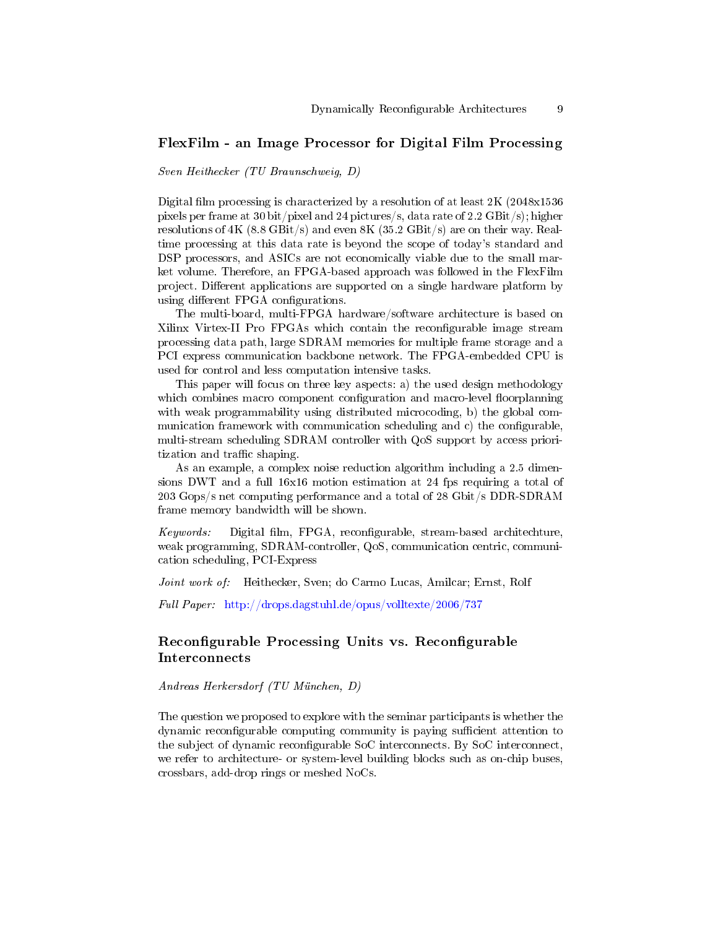#### FlexFilm - an Image Processor for Digital Film Processing

Sven Heithecker (TU Braunschweig, D)

Digital film processing is characterized by a resolution of at least  $2K (2048x1536$ pixels per frame at 30 bit/pixel and 24 pictures/s, data rate of 2.2 GBit/s); higher resolutions of 4K (8.8 GBit/s) and even 8K (35.2 GBit/s) are on their way. Realtime processing at this data rate is beyond the scope of today's standard and DSP processors, and ASICs are not economically viable due to the small market volume. Therefore, an FPGA-based approach was followed in the FlexFilm project. Different applications are supported on a single hardware platform by using different FPGA configurations.

The multi-board, multi-FPGA hardware/software architecture is based on Xilinx Virtex-II Pro FPGAs which contain the reconfigurable image stream processing data path, large SDRAM memories for multiple frame storage and a PCI express communication backbone network. The FPGA-embedded CPU is used for control and less computation intensive tasks.

This paper will focus on three key aspects: a) the used design methodology which combines macro component configuration and macro-level floorplanning with weak programmability using distributed microcoding, b) the global communication framework with communication scheduling and  $c$ ) the configurable, multi-stream scheduling SDRAM controller with QoS support by access prioritization and traffic shaping.

As an example, a complex noise reduction algorithm including a 2.5 dimensions DWT and a full 16x16 motion estimation at 24 fps requiring a total of 203 Gops/s net computing performance and a total of 28 Gbit/s DDR-SDRAM frame memory bandwidth will be shown.

Keywords: Digital film, FPGA, reconfigurable, stream-based architechture, weak programming, SDRAM-controller, QoS, communication centric, communication scheduling, PCI-Express

Joint work of: Heithecker, Sven; do Carmo Lucas, Amilcar; Ernst, Rolf

Full Paper: <http://drops.dagstuhl.de/opus/volltexte/2006/737>

# Reconfigurable Processing Units vs. Reconfigurable Interconnects

Andreas Herkersdorf (TU München, D)

The question we proposed to explore with the seminar participants is whether the dynamic reconfigurable computing community is paying sufficient attention to the subject of dynamic recongurable SoC interconnects. By SoC interconnect, we refer to architecture- or system-level building blocks such as on-chip buses, crossbars, add-drop rings or meshed NoCs.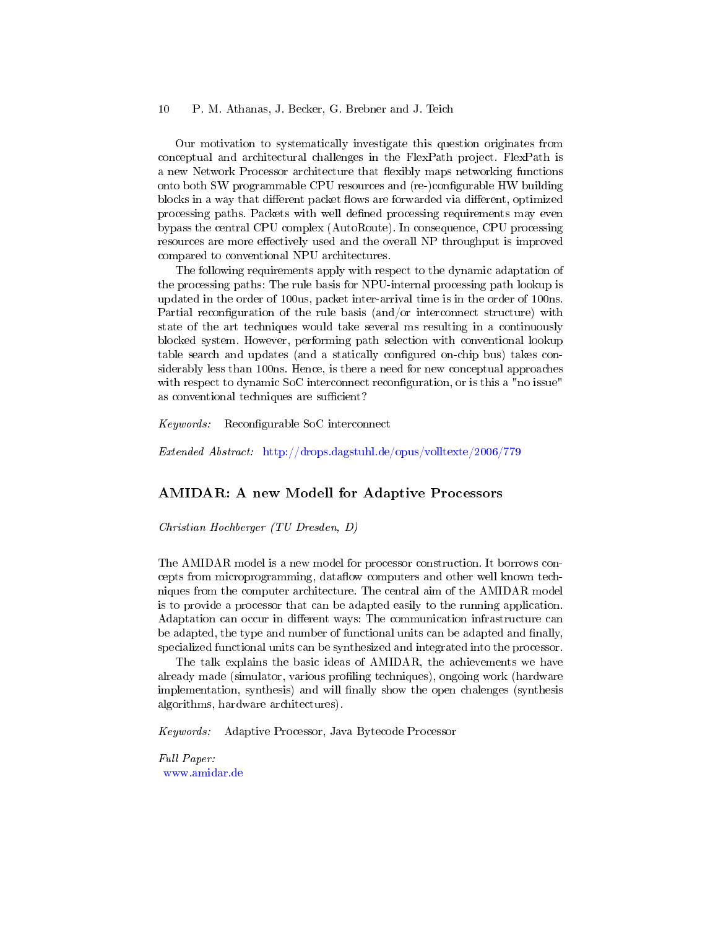Our motivation to systematically investigate this question originates from conceptual and architectural challenges in the FlexPath project. FlexPath is a new Network Processor architecture that flexibly maps networking functions onto both SW programmable CPU resources and (re-)configurable HW building blocks in a way that different packet flows are forwarded via different, optimized processing paths. Packets with well defined processing requirements may even bypass the central CPU complex (AutoRoute). In consequence, CPU processing resources are more effectively used and the overall NP throughput is improved compared to conventional NPU architectures.

The following requirements apply with respect to the dynamic adaptation of the processing paths: The rule basis for NPU-internal processing path lookup is updated in the order of 100us, packet inter-arrival time is in the order of 100ns. Partial reconfiguration of the rule basis (and/or interconnect structure) with state of the art techniques would take several ms resulting in a continuously blocked system. However, performing path selection with conventional lookup table search and updates (and a statically configured on-chip bus) takes considerably less than 100ns. Hence, is there a need for new conceptual approaches with respect to dynamic SoC interconnect reconfiguration, or is this a "no issue" as conventional techniques are sufficient?

 $Keywords:$  Reconfigurable SoC interconnect

Extended Abstract: <http://drops.dagstuhl.de/opus/volltexte/2006/779>

#### AMIDAR: A new Modell for Adaptive Processors

Christian Hochberger (TU Dresden, D)

The AMIDAR model is a new model for processor construction. It borrows concepts from microprogramming, dataflow computers and other well known techniques from the computer architecture. The central aim of the AMIDAR model is to provide a processor that can be adapted easily to the running application. Adaptation can occur in different ways: The communication infrastructure can be adapted, the type and number of functional units can be adapted and finally, specialized functional units can be synthesized and integrated into the processor.

The talk explains the basic ideas of AMIDAR, the achievements we have already made (simulator, various profiling techniques), ongoing work (hardware implementation, synthesis) and will finally show the open chalenges (synthesis algorithms, hardware architectures).

Keywords: Adaptive Processor, Java Bytecode Processor

Full Paper: [www.amidar.de](file:www.amidar.de)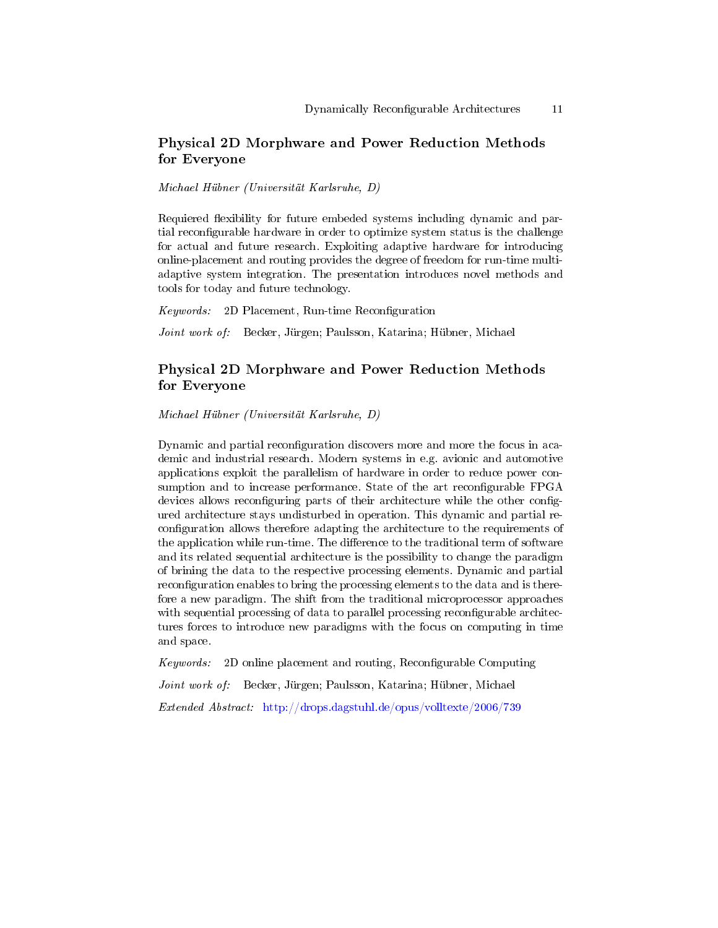# Physical 2D Morphware and Power Reduction Methods for Everyone

Michael Hübner (Universität Karlsruhe, D)

Requiered flexibility for future embeded systems including dynamic and partial reconfigurable hardware in order to optimize system status is the challenge for actual and future research. Exploiting adaptive hardware for introducing online-placement and routing provides the degree of freedom for run-time multiadaptive system integration. The presentation introduces novel methods and tools for today and future technology.

Keywords: 2D Placement, Run-time Reconfiguration

Joint work of: Becker, Jürgen; Paulsson, Katarina; Hübner, Michael

# Physical 2D Morphware and Power Reduction Methods for Everyone

Michael Hübner (Universität Karlsruhe, D)

Dynamic and partial reconfiguration discovers more and more the focus in academic and industrial research. Modern systems in e.g. avionic and automotive applications exploit the parallelism of hardware in order to reduce power consumption and to increase performance. State of the art reconfigurable FPGA devices allows reconfiguring parts of their architecture while the other configured architecture stays undisturbed in operation. This dynamic and partial reconfiguration allows therefore adapting the architecture to the requirements of the application while run-time. The difference to the traditional term of software and its related sequential architecture is the possibility to change the paradigm of brining the data to the respective processing elements. Dynamic and partial reconfiguration enables to bring the processing elements to the data and is therefore a new paradigm. The shift from the traditional microprocessor approaches with sequential processing of data to parallel processing reconfigurable architectures forces to introduce new paradigms with the focus on computing in time and space.

 $Keywords: 2D$  online placement and routing, Reconfigurable Computing

Joint work of: Becker, Jürgen; Paulsson, Katarina; Hübner, Michael

Extended Abstract: <http://drops.dagstuhl.de/opus/volltexte/2006/739>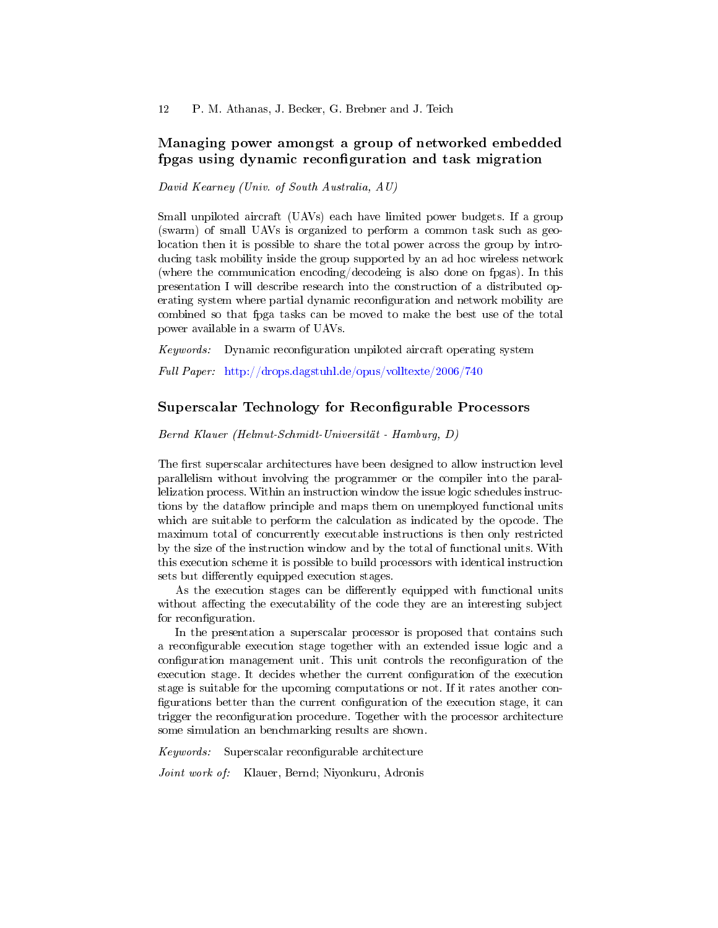### Managing power amongst a group of networked embedded fpgas using dynamic reconfiguration and task migration

David Kearney (Univ. of South Australia, AU)

Small unpiloted aircraft (UAVs) each have limited power budgets. If a group (swarm) of small UAVs is organized to perform a common task such as geolocation then it is possible to share the total power across the group by introducing task mobility inside the group supported by an ad hoc wireless network (where the communication encoding/decodeing is also done on fpgas). In this presentation I will describe research into the construction of a distributed operating system where partial dynamic reconfiguration and network mobility are combined so that fpga tasks can be moved to make the best use of the total power available in a swarm of UAVs.

 $Keywords:$  Dynamic reconfiguration unpiloted aircraft operating system

Full Paper: <http://drops.dagstuhl.de/opus/volltexte/2006/740>

### Superscalar Technology for Reconfigurable Processors

Bernd Klauer (Helmut-Schmidt-Universität - Hamburg, D)

The first superscalar architectures have been designed to allow instruction level parallelism without involving the programmer or the compiler into the parallelization process. Within an instruction window the issue logic schedules instructions by the dataflow principle and maps them on unemployed functional units which are suitable to perform the calculation as indicated by the opcode. The maximum total of concurrently executable instructions is then only restricted by the size of the instruction window and by the total of functional units. With this execution scheme it is possible to build processors with identical instruction sets but differently equipped execution stages.

As the execution stages can be differently equipped with functional units without affecting the executability of the code they are an interesting subject for reconfiguration.

In the presentation a superscalar processor is proposed that contains such a reconfigurable execution stage together with an extended issue logic and a configuration management unit. This unit controls the reconfiguration of the execution stage. It decides whether the current configuration of the execution stage is suitable for the upcoming computations or not. If it rates another con figurations better than the current configuration of the execution stage, it can trigger the reconfiguration procedure. Together with the processor architecture some simulation an benchmarking results are shown.

Keywords: Superscalar reconfigurable architecture

Joint work of: Klauer, Bernd; Niyonkuru, Adronis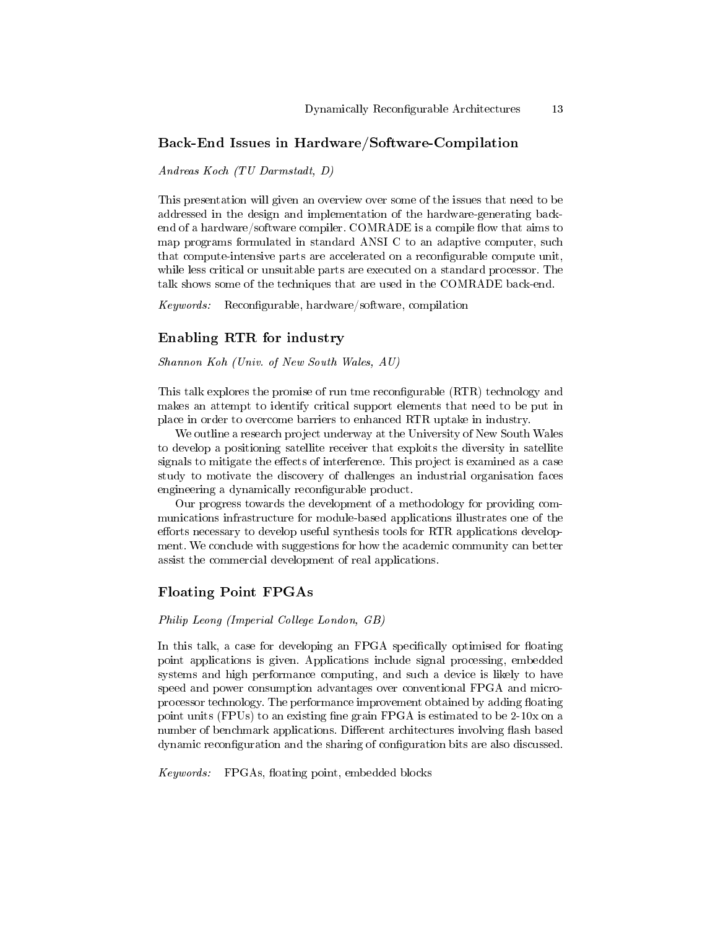#### Back-End Issues in Hardware/Software-Compilation

Andreas Koch (TU Darmstadt, D)

This presentation will given an overview over some of the issues that need to be addressed in the design and implementation of the hardware-generating backend of a hardware/software compiler. COMRADE is a compile flow that aims to map programs formulated in standard ANSI C to an adaptive computer, such that compute-intensive parts are accelerated on a recongurable compute unit, while less critical or unsuitable parts are executed on a standard processor. The talk shows some of the techniques that are used in the COMRADE back-end.

 $Keywords:$  Reconfigurable, hardware/software, compilation

#### Enabling RTR for industry

Shannon Koh (Univ. of New South Wales, AU)

This talk explores the promise of run tme reconfigurable (RTR) technology and makes an attempt to identify critical support elements that need to be put in place in order to overcome barriers to enhanced RTR uptake in industry.

We outline a research project underway at the University of New South Wales to develop a positioning satellite receiver that exploits the diversity in satellite signals to mitigate the effects of interference. This project is examined as a case study to motivate the discovery of challenges an industrial organisation faces engineering a dynamically reconfigurable product.

Our progress towards the development of a methodology for providing communications infrastructure for module-based applications illustrates one of the efforts necessary to develop useful synthesis tools for RTR applications development. We conclude with suggestions for how the academic community can better assist the commercial development of real applications.

#### Floating Point FPGAs

#### Philip Leong (Imperial College London, GB)

In this talk, a case for developing an FPGA specifically optimised for floating point applications is given. Applications include signal processing, embedded systems and high performance computing, and such a device is likely to have speed and power consumption advantages over conventional FPGA and microprocessor technology. The performance improvement obtained by adding floating point units (FPUs) to an existing fine grain FPGA is estimated to be  $2-10x$  on a number of benchmark applications. Different architectures involving flash based dynamic reconfiguration and the sharing of configuration bits are also discussed.

Keywords: FPGAs, floating point, embedded blocks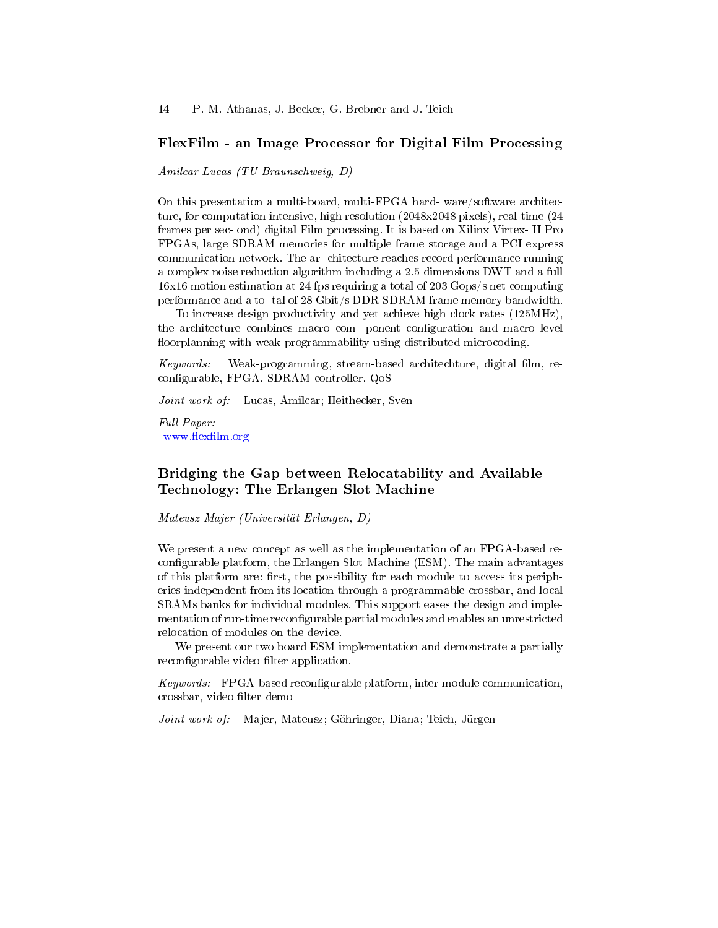#### FlexFilm - an Image Processor for Digital Film Processing

Amilcar Lucas (TU Braunschweig, D)

On this presentation a multi-board, multi-FPGA hard- ware/software architecture, for computation intensive, high resolution (2048x2048 pixels), real-time (24 frames per sec- ond) digital Film processing. It is based on Xilinx Virtex- II Pro FPGAs, large SDRAM memories for multiple frame storage and a PCI express communication network. The ar- chitecture reaches record performance running a complex noise reduction algorithm including a 2.5 dimensions DWT and a full 16x16 motion estimation at 24 fps requiring a total of 203 Gops/s net computing performance and a to- tal of 28 Gbit/s DDR-SDRAM frame memory bandwidth.

To increase design productivity and yet achieve high clock rates (125MHz), the architecture combines macro com- ponent configuration and macro level floorplanning with weak programmability using distributed microcoding.

 $Keywords:$  Weak-programming, stream-based architechture, digital film, reconfigurable, FPGA, SDRAM-controller, QoS

Joint work of: Lucas, Amilcar; Heithecker, Sven

Full Paper: www.flexfilm.org

### Bridging the Gap between Relocatability and Available Technology: The Erlangen Slot Machine

Mateusz Majer (Universität Erlangen, D)

We present a new concept as well as the implementation of an FPGA-based reconfigurable platform, the Erlangen Slot Machine (ESM). The main advantages of this platform are: first, the possibility for each module to access its peripheries independent from its location through a programmable crossbar, and local SRAMs banks for individual modules. This support eases the design and implementation of run-time reconfigurable partial modules and enables an unrestricted relocation of modules on the device.

We present our two board ESM implementation and demonstrate a partially reconfigurable video filter application.

 $Keywords:$  FPGA-based reconfigurable platform, inter-module communication, crossbar, video filter demo

Joint work of: Majer, Mateusz; Göhringer, Diana; Teich, Jürgen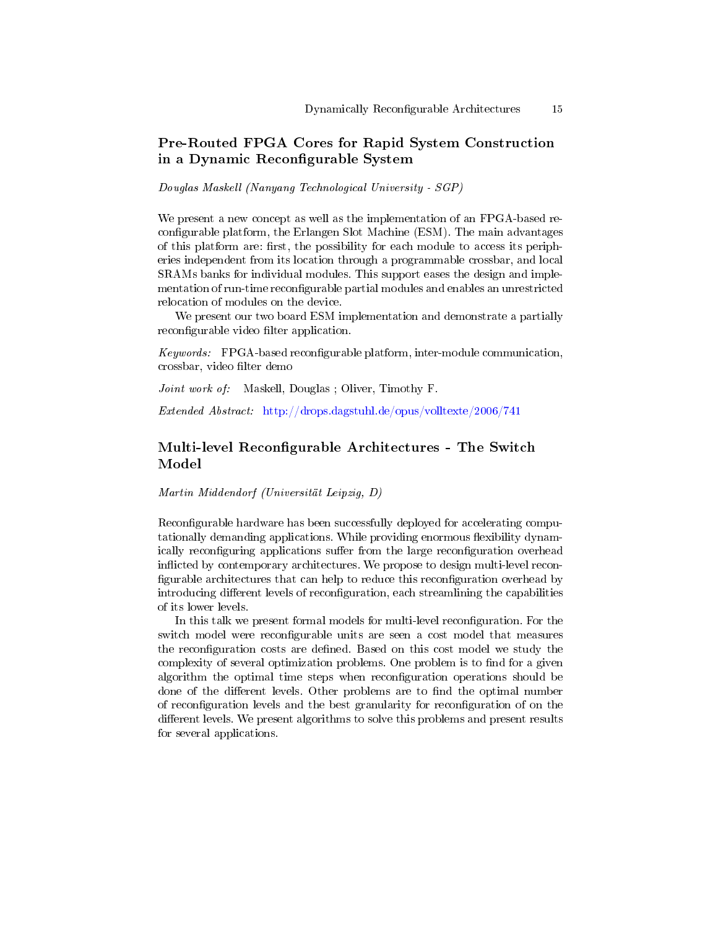# Pre-Routed FPGA Cores for Rapid System Construction in a Dynamic Reconfigurable System

Douglas Maskell (Nanyang Technological University - SGP)

We present a new concept as well as the implementation of an FPGA-based reconfigurable platform, the Erlangen Slot Machine (ESM). The main advantages of this platform are: first, the possibility for each module to access its peripheries independent from its location through a programmable crossbar, and local SRAMs banks for individual modules. This support eases the design and implementation of run-time reconfigurable partial modules and enables an unrestricted relocation of modules on the device.

We present our two board ESM implementation and demonstrate a partially reconfigurable video filter application.

 $Keywords:$  FPGA-based reconfigurable platform, inter-module communication, crossbar, video filter demo

Joint work of: Maskell, Douglas; Oliver, Timothy F.

Extended Abstract: <http://drops.dagstuhl.de/opus/volltexte/2006/741>

### Multi-level Reconfigurable Architectures - The Switch Model

Martin Middendorf (Universität Leipzig, D)

Reconfigurable hardware has been successfully deployed for accelerating computationally demanding applications. While providing enormous flexibility dynamically reconfiguring applications suffer from the large reconfiguration overhead inflicted by contemporary architectures. We propose to design multi-level reconfigurable architectures that can help to reduce this reconfiguration overhead by introducing different levels of reconfiguration, each streamlining the capabilities of its lower levels.

In this talk we present formal models for multi-level reconguration. For the switch model were reconfigurable units are seen a cost model that measures the reconfiguration costs are defined. Based on this cost model we study the complexity of several optimization problems. One problem is to find for a given algorithm the optimal time steps when reconguration operations should be done of the different levels. Other problems are to find the optimal number of reconfiguration levels and the best granularity for reconfiguration of on the different levels. We present algorithms to solve this problems and present results for several applications.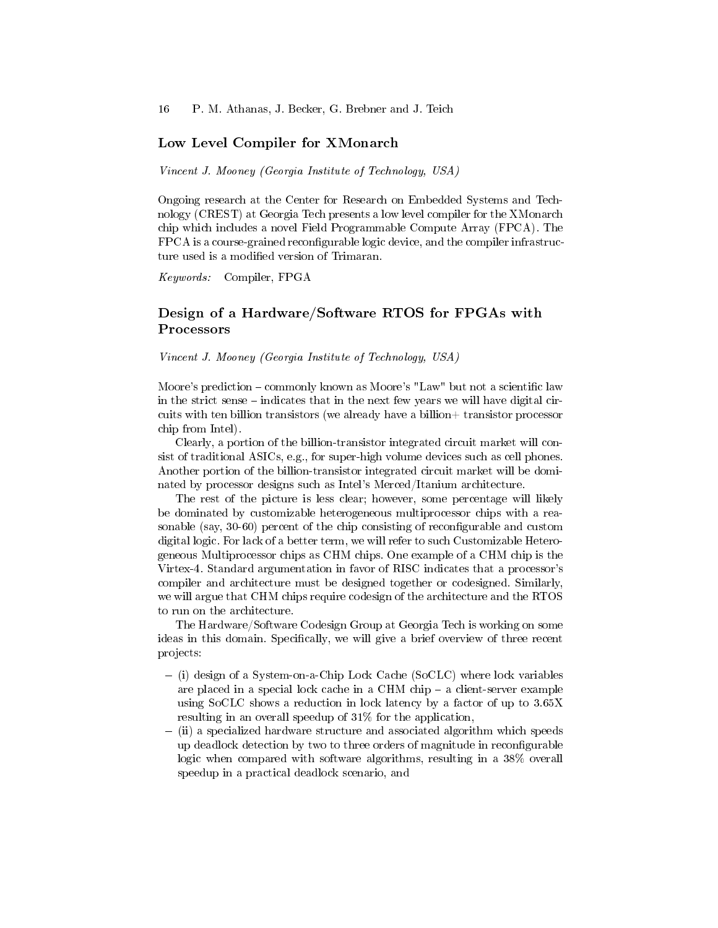#### Low Level Compiler for XMonarch

Vincent J. Mooney (Georgia Institute of Technology, USA)

Ongoing research at the Center for Research on Embedded Systems and Technology (CREST) at Georgia Tech presents a low level compiler for the XMonarch chip which includes a novel Field Programmable Compute Array (FPCA). The FPCA is a course-grained reconfigurable logic device, and the compiler infrastructure used is a modified version of Trimaran.

Keywords: Compiler, FPGA

### Design of a Hardware/Software RTOS for FPGAs with Processors

Vincent J. Mooney (Georgia Institute of Technology, USA)

Moore's prediction  $-\text{commonly known as Moore's "Law" but not a scientific law.}$ in the strict sense  $-$  indicates that in the next few years we will have digital circuits with ten billion transistors (we already have a billion+ transistor processor chip from Intel).

Clearly, a portion of the billion-transistor integrated circuit market will consist of traditional ASICs, e.g., for super-high volume devices such as cell phones. Another portion of the billion-transistor integrated circuit market will be dominated by processor designs such as Intel's Merced/Itanium architecture.

The rest of the picture is less clear; however, some percentage will likely be dominated by customizable heterogeneous multiprocessor chips with a reasonable (say, 30-60) percent of the chip consisting of reconfigurable and custom digital logic. For lack of a better term, we will refer to such Customizable Heterogeneous Multiprocessor chips as CHM chips. One example of a CHM chip is the Virtex-4. Standard argumentation in favor of RISC indicates that a processor's compiler and architecture must be designed together or codesigned. Similarly, we will argue that CHM chips require codesign of the architecture and the RTOS to run on the architecture.

The Hardware/Software Codesign Group at Georgia Tech is working on some ideas in this domain. Specifically, we will give a brief overview of three recent projects:

- (i) design of a System-on-a-Chip Lock Cache (SoCLC) where lock variables are placed in a special lock cache in a CHM chip  $-$  a client-server example using SoCLC shows a reduction in lock latency by a factor of up to 3.65X resulting in an overall speedup of 31% for the application,
- (ii) a specialized hardware structure and associated algorithm which speeds up deadlock detection by two to three orders of magnitude in recongurable logic when compared with software algorithms, resulting in a 38% overall speedup in a practical deadlock scenario, and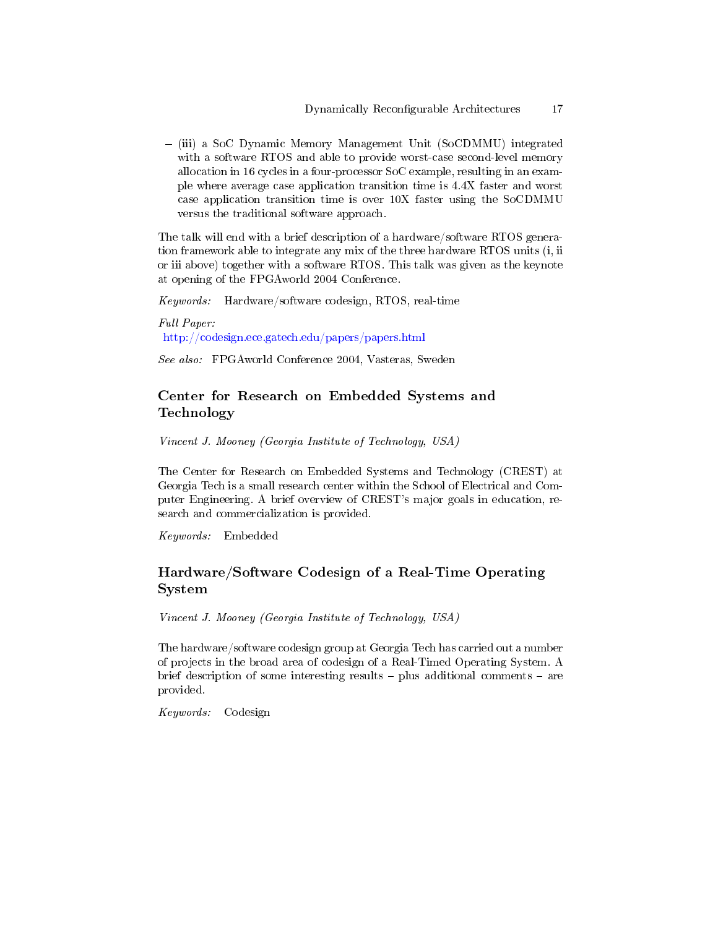(iii) a SoC Dynamic Memory Management Unit (SoCDMMU) integrated with a software RTOS and able to provide worst-case second-level memory allocation in 16 cycles in a four-processor SoC example, resulting in an example where average case application transition time is 4.4X faster and worst case application transition time is over 10X faster using the SoCDMMU versus the traditional software approach.

The talk will end with a brief description of a hardware/software RTOS generation framework able to integrate any mix of the three hardware RTOS units (i, ii or iii above) together with a software RTOS. This talk was given as the keynote at opening of the FPGAworld 2004 Conference.

Keywords: Hardware/software codesign, RTOS, real-time

Full Paper: <http://codesign.ece.gatech.edu/papers/papers.html>

See also: FPGAworld Conference 2004, Vasteras, Sweden

# Center for Research on Embedded Systems and Technology

Vincent J. Mooney (Georgia Institute of Technology, USA)

The Center for Research on Embedded Systems and Technology (CREST) at Georgia Tech is a small research center within the School of Electrical and Computer Engineering. A brief overview of CREST's major goals in education, research and commercialization is provided.

Keywords: Embedded

# Hardware/Software Codesign of a Real-Time Operating System

Vincent J. Mooney (Georgia Institute of Technology, USA)

The hardware/software codesign group at Georgia Tech has carried out a number of projects in the broad area of codesign of a Real-Timed Operating System. A brief description of some interesting results  $-$  plus additional comments  $-$  are provided.

Keywords: Codesign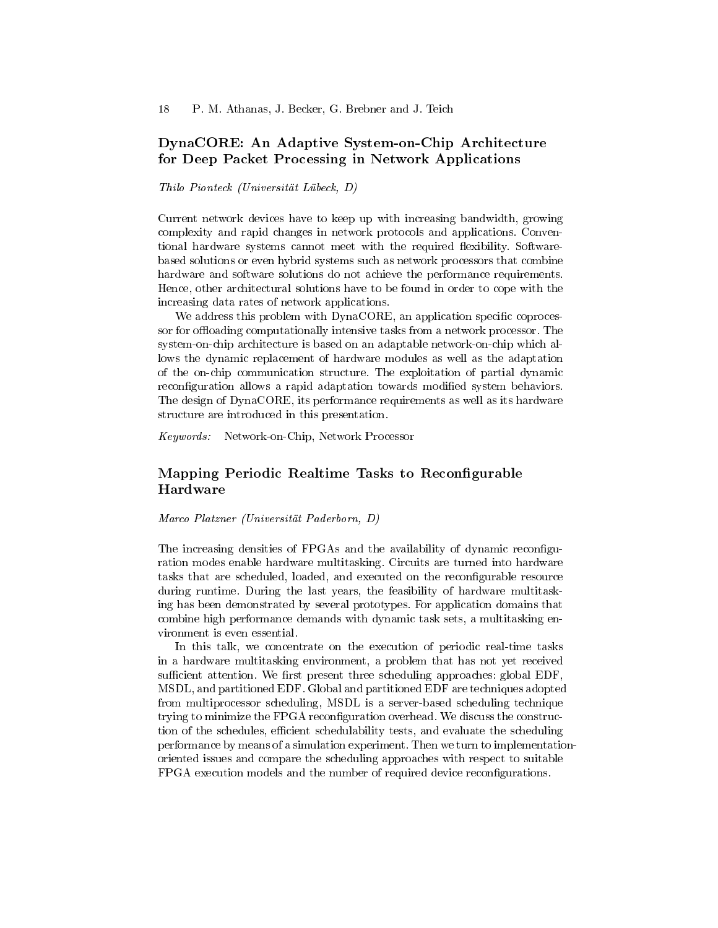### DynaCORE: An Adaptive System-on-Chip Architecture for Deep Packet Processing in Network Applications

#### Thilo Pionteck (Universität Lübeck, D)

Current network devices have to keep up with increasing bandwidth, growing complexity and rapid changes in network protocols and applications. Conventional hardware systems cannot meet with the required flexibility. Softwarebased solutions or even hybrid systems such as network processors that combine hardware and software solutions do not achieve the performance requirements. Hence, other architectural solutions have to be found in order to cope with the increasing data rates of network applications.

We address this problem with DynaCORE, an application specific coprocessor for offloading computationally intensive tasks from a network processor. The system-on-chip architecture is based on an adaptable network-on-chip which allows the dynamic replacement of hardware modules as well as the adaptation of the on-chip communication structure. The exploitation of partial dynamic reconfiguration allows a rapid adaptation towards modified system behaviors. The design of DynaCORE, its performance requirements as well as its hardware structure are introduced in this presentation.

Keywords: Network-on-Chip, Network Processor

### Mapping Periodic Realtime Tasks to Reconfigurable Hardware

Marco Platzner (Universität Paderborn, D)

The increasing densities of FPGAs and the availability of dynamic reconfiguration modes enable hardware multitasking. Circuits are turned into hardware tasks that are scheduled, loaded, and executed on the reconfigurable resource during runtime. During the last years, the feasibility of hardware multitasking has been demonstrated by several prototypes. For application domains that combine high performance demands with dynamic task sets, a multitasking environment is even essential.

In this talk, we concentrate on the execution of periodic real-time tasks in a hardware multitasking environment, a problem that has not yet received sufficient attention. We first present three scheduling approaches: global EDF, MSDL, and partitioned EDF. Global and partitioned EDF are techniques adopted from multiprocessor scheduling, MSDL is a server-based scheduling technique trying to minimize the FPGA reconfiguration overhead. We discuss the construction of the schedules, efficient schedulability tests, and evaluate the scheduling performance by means of a simulation experiment. Then we turn to implementationoriented issues and compare the scheduling approaches with respect to suitable FPGA execution models and the number of required device recongurations.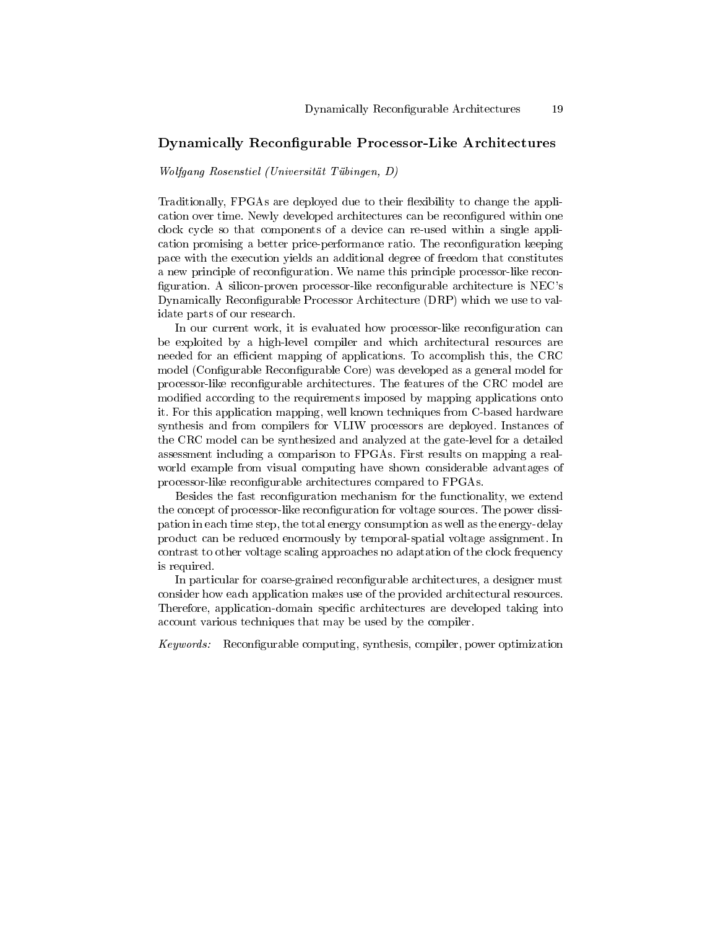#### Dynamically Reconfigurable Processor-Like Architectures

Wolfgang Rosenstiel (Universität Tübingen, D)

Traditionally, FPGAs are deployed due to their flexibility to change the application over time. Newly developed architectures can be reconfigured within one clock cycle so that components of a device can re-used within a single application promising a better price-performance ratio. The reconfiguration keeping pace with the execution yields an additional degree of freedom that constitutes a new principle of reconfiguration. We name this principle processor-like reconfiguration. A silicon-proven processor-like reconfigurable architecture is NEC's Dynamically Reconfigurable Processor Architecture (DRP) which we use to validate parts of our research.

In our current work, it is evaluated how processor-like reconfiguration can be exploited by a high-level compiler and which architectural resources are needed for an efficient mapping of applications. To accomplish this, the CRC model (Configurable Reconfigurable Core) was developed as a general model for processor-like reconfigurable architectures. The features of the CRC model are modified according to the requirements imposed by mapping applications onto it. For this application mapping, well known techniques from C-based hardware synthesis and from compilers for VLIW processors are deployed. Instances of the CRC model can be synthesized and analyzed at the gate-level for a detailed assessment including a comparison to FPGAs. First results on mapping a realworld example from visual computing have shown considerable advantages of processor-like reconfigurable architectures compared to FPGAs.

Besides the fast reconfiguration mechanism for the functionality, we extend the concept of processor-like reconfiguration for voltage sources. The power dissipation in each time step, the total energy consumption as well as the energy-delay product can be reduced enormously by temporal-spatial voltage assignment. In contrast to other voltage scaling approaches no adaptation of the clock frequency is required.

In particular for coarse-grained reconfigurable architectures, a designer must consider how each application makes use of the provided architectural resources. Therefore, application-domain specific architectures are developed taking into account various techniques that may be used by the compiler.

Keywords: Reconfigurable computing, synthesis, compiler, power optimization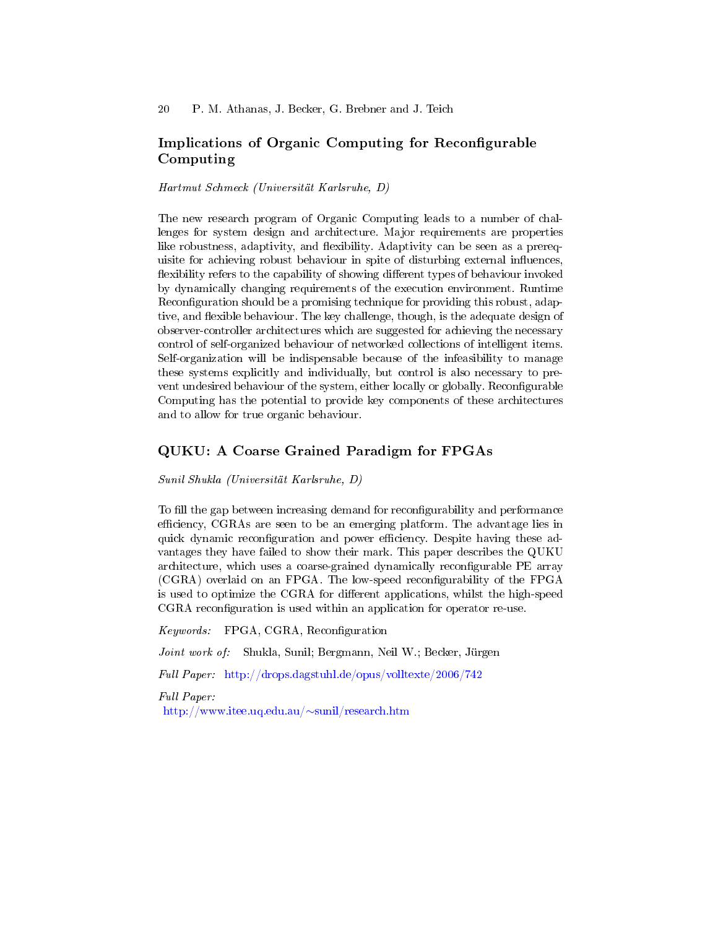# Implications of Organic Computing for Reconfigurable Computing

Hartmut Schmeck (Universität Karlsruhe, D)

The new research program of Organic Computing leads to a number of challenges for system design and architecture. Major requirements are properties like robustness, adaptivity, and flexibility. Adaptivity can be seen as a prerequisite for achieving robust behaviour in spite of disturbing external influences, flexibility refers to the capability of showing different types of behaviour invoked by dynamically changing requirements of the execution environment. Runtime Reconfiguration should be a promising technique for providing this robust, adaptive, and flexible behaviour. The key challenge, though, is the adequate design of observer-controller architectures which are suggested for achieving the necessary control of self-organized behaviour of networked collections of intelligent items. Self-organization will be indispensable because of the infeasibility to manage these systems explicitly and individually, but control is also necessary to prevent undesired behaviour of the system, either locally or globally. Reconfigurable Computing has the potential to provide key components of these architectures and to allow for true organic behaviour.

### QUKU: A Coarse Grained Paradigm for FPGAs

Sunil Shukla (Universität Karlsruhe, D)

To fill the gap between increasing demand for reconfigurability and performance efficiency, CGRAs are seen to be an emerging platform. The advantage lies in quick dynamic reconfiguration and power efficiency. Despite having these advantages they have failed to show their mark. This paper describes the QUKU architecture, which uses a coarse-grained dynamically reconfigurable PE array (CGRA) overlaid on an FPGA. The low-speed reconfigurability of the FPGA is used to optimize the CGRA for different applications, whilst the high-speed CGRA reconfiguration is used within an application for operator re-use.

Keywords: FPGA, CGRA, Reconfiguration

Joint work of: Shukla, Sunil; Bergmann, Neil W.; Becker, Jürgen

Full Paper: <http://drops.dagstuhl.de/opus/volltexte/2006/742>

Full Paper:

[http://www.itee.uq.edu.au/](http://www.itee.uq.edu.au/~sunil/research.htm)∼sunil/research.htm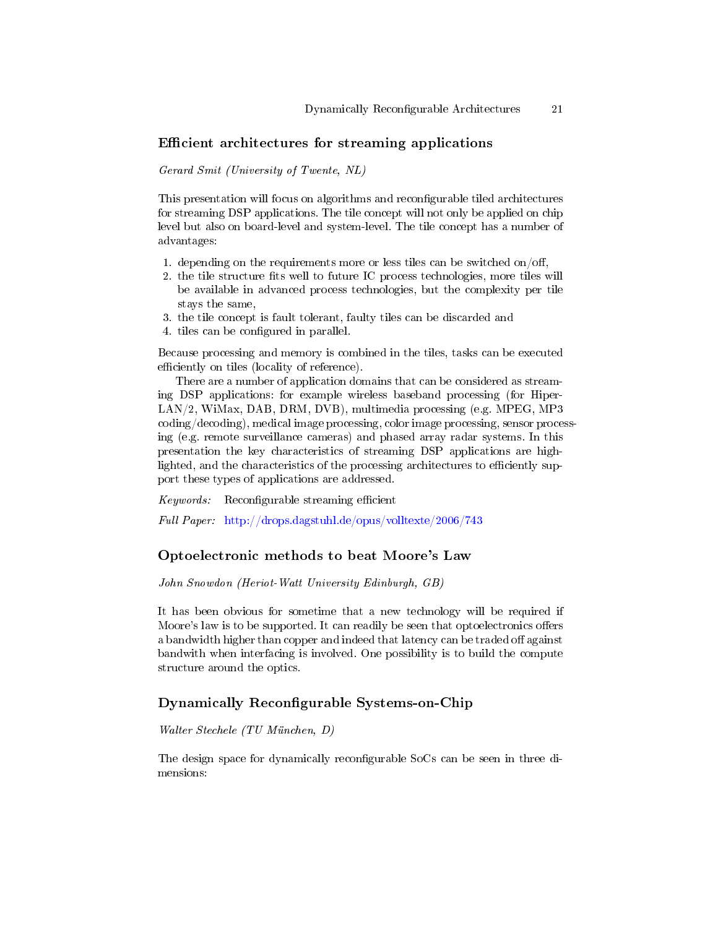#### Efficient architectures for streaming applications

Gerard Smit (University of Twente, NL)

This presentation will focus on algorithms and reconfigurable tiled architectures for streaming DSP applications. The tile concept will not only be applied on chip level but also on board-level and system-level. The tile concept has a number of advantages:

- 1. depending on the requirements more or less tiles can be switched on/off,
- 2. the tile structure fits well to future IC process technologies, more tiles will be available in advanced process technologies, but the complexity per tile stays the same,
- 3. the tile concept is fault tolerant, faulty tiles can be discarded and
- 4. tiles can be configured in parallel.

Because processing and memory is combined in the tiles, tasks can be executed efficiently on tiles (locality of reference).

There are a number of application domains that can be considered as streaming DSP applications: for example wireless baseband processing (for Hiper-LAN/2, WiMax, DAB, DRM, DVB), multimedia processing (e.g. MPEG, MP3 coding/decoding), medical image processing, color image processing, sensor processing (e.g. remote surveillance cameras) and phased array radar systems. In this presentation the key characteristics of streaming DSP applications are highlighted, and the characteristics of the processing architectures to efficiently support these types of applications are addressed.

 $Keywords:$  Reconfigurable streaming efficient

Full Paper: <http://drops.dagstuhl.de/opus/volltexte/2006/743>

#### Optoelectronic methods to beat Moore's Law

John Snowdon (Heriot-Watt University Edinburgh, GB)

It has been obvious for sometime that a new technology will be required if Moore's law is to be supported. It can readily be seen that optoelectronics offers a bandwidth higher than copper and indeed that latency can be traded off against bandwith when interfacing is involved. One possibility is to build the compute structure around the optics.

#### Dynamically Reconfigurable Systems-on-Chip

Walter Stechele (TU München, D)

The design space for dynamically reconfigurable SoCs can be seen in three dimensions: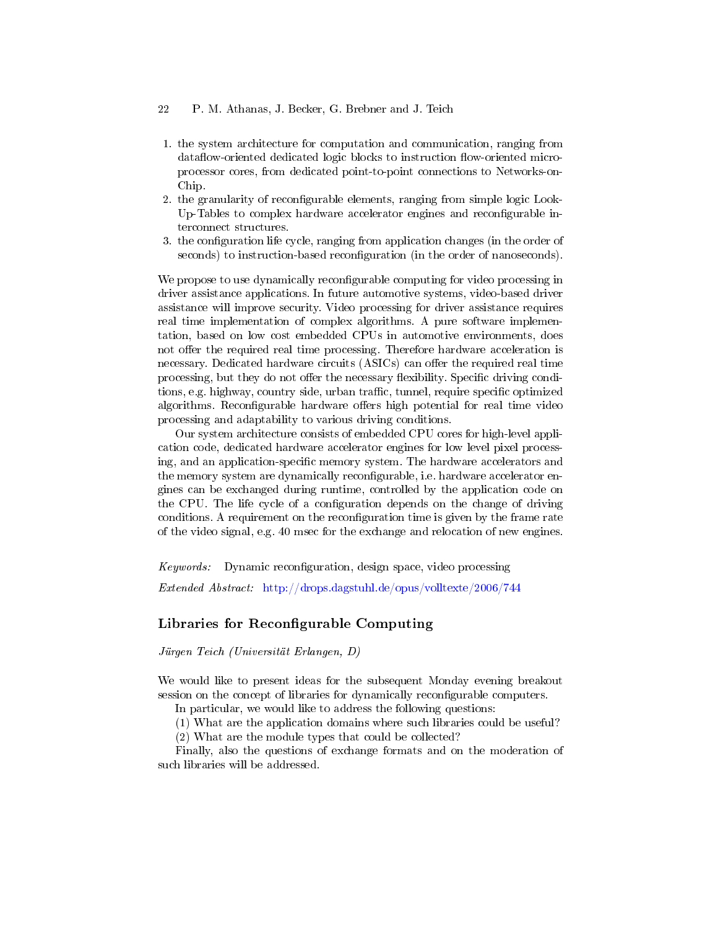- 22 P. M. Athanas, J. Becker, G. Brebner and J. Teich
- 1. the system architecture for computation and communication, ranging from dataflow-oriented dedicated logic blocks to instruction flow-oriented microprocessor cores, from dedicated point-to-point connections to Networks-on-Chip.
- 2. the granularity of reconfigurable elements, ranging from simple logic Look-Up-Tables to complex hardware accelerator engines and reconfigurable interconnect structures.
- 3. the configuration life cycle, ranging from application changes (in the order of seconds) to instruction-based reconfiguration (in the order of nanoseconds).

We propose to use dynamically reconfigurable computing for video processing in driver assistance applications. In future automotive systems, video-based driver assistance will improve security. Video processing for driver assistance requires real time implementation of complex algorithms. A pure software implementation, based on low cost embedded CPUs in automotive environments, does not offer the required real time processing. Therefore hardware acceleration is necessary. Dedicated hardware circuits (ASICs) can offer the required real time processing, but they do not offer the necessary flexibility. Specific driving conditions, e.g. highway, country side, urban traffic, tunnel, require specific optimized algorithms. Reconfigurable hardware offers high potential for real time video processing and adaptability to various driving conditions.

Our system architecture consists of embedded CPU cores for high-level application code, dedicated hardware accelerator engines for low level pixel processing, and an application-specific memory system. The hardware accelerators and the memory system are dynamically reconfigurable, i.e. hardware accelerator engines can be exchanged during runtime, controlled by the application code on the CPU. The life cycle of a configuration depends on the change of driving conditions. A requirement on the reconfiguration time is given by the frame rate of the video signal, e.g. 40 msec for the exchange and relocation of new engines.

 $Keywords:$  Dynamic reconfiguration, design space, video processing

Extended Abstract: <http://drops.dagstuhl.de/opus/volltexte/2006/744>

#### Libraries for Reconfigurable Computing

Jürgen Teich (Universität Erlangen, D)

We would like to present ideas for the subsequent Monday evening breakout session on the concept of libraries for dynamically reconfigurable computers.

In particular, we would like to address the following questions:

(1) What are the application domains where such libraries could be useful?

(2) What are the module types that could be collected?

Finally, also the questions of exchange formats and on the moderation of such libraries will be addressed.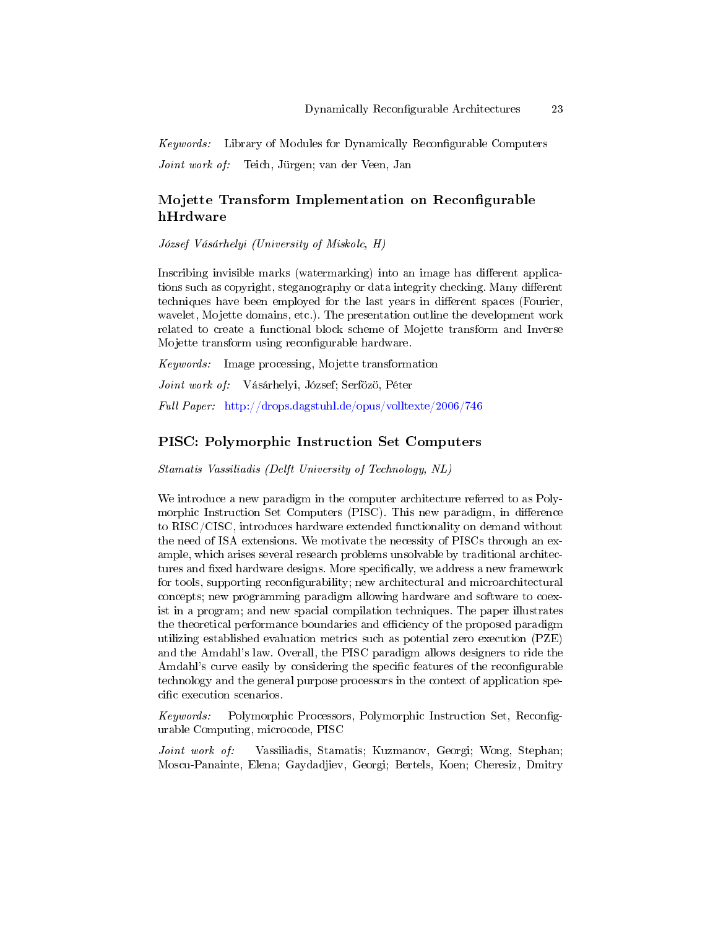Keywords: Library of Modules for Dynamically Reconfigurable Computers Joint work of: Teich, Jürgen; van der Veen, Jan

### Mojette Transform Implementation on Reconfigurable hHrdware

József Vásárhelyi (University of Miskolc, H)

Inscribing invisible marks (watermarking) into an image has different applications such as copyright, steganography or data integrity checking. Many different techniques have been employed for the last years in different spaces (Fourier, wavelet, Mojette domains, etc.). The presentation outline the development work related to create a functional block scheme of Mojette transform and Inverse Mojette transform using reconfigurable hardware.

Keywords: Image processing, Mojette transformation Joint work of: Vásárhelyi, József; Serfözö, Péter Full Paper: <http://drops.dagstuhl.de/opus/volltexte/2006/746>

#### PISC: Polymorphic Instruction Set Computers

Stamatis Vassiliadis (Delft University of Technology, NL)

We introduce a new paradigm in the computer architecture referred to as Polymorphic Instruction Set Computers (PISC). This new paradigm, in difference to RISC/CISC, introduces hardware extended functionality on demand without the need of ISA extensions. We motivate the necessity of PISCs through an example, which arises several research problems unsolvable by traditional architectures and fixed hardware designs. More specifically, we address a new framework for tools, supporting reconfigurability; new architectural and microarchitectural concepts; new programming paradigm allowing hardware and software to coexist in a program; and new spacial compilation techniques. The paper illustrates the theoretical performance boundaries and efficiency of the proposed paradigm utilizing established evaluation metrics such as potential zero execution (PZE) and the Amdahl's law. Overall, the PISC paradigm allows designers to ride the Amdahl's curve easily by considering the specific features of the reconfigurable technology and the general purpose processors in the context of application specific execution scenarios.

Keywords: Polymorphic Processors, Polymorphic Instruction Set, Recongurable Computing, microcode, PISC

Joint work of: Vassiliadis, Stamatis; Kuzmanov, Georgi; Wong, Stephan; Moscu-Panainte, Elena; Gaydadjiev, Georgi; Bertels, Koen; Cheresiz, Dmitry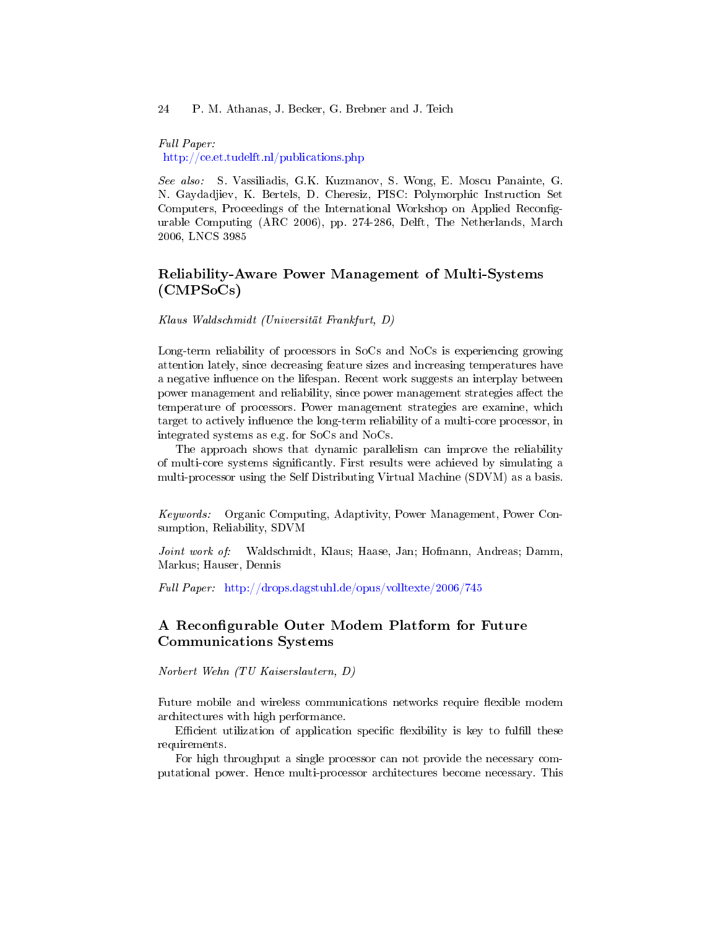Full Paper: <http://ce.et.tudelft.nl/publications.php>

See also: S. Vassiliadis, G.K. Kuzmanov, S. Wong, E. Moscu Panainte, G. N. Gaydadjiev, K. Bertels, D. Cheresiz, PISC: Polymorphic Instruction Set Computers, Proceedings of the International Workshop on Applied Recongurable Computing (ARC 2006), pp. 274-286, Delft, The Netherlands, March 2006, LNCS 3985

# Reliability-Aware Power Management of Multi-Systems (CMPSoCs)

Klaus Waldschmidt (Universität Frankfurt, D)

Long-term reliability of processors in SoCs and NoCs is experiencing growing attention lately, since decreasing feature sizes and increasing temperatures have a negative influence on the lifespan. Recent work suggests an interplay between power management and reliability, since power management strategies affect the temperature of processors. Power management strategies are examine, which target to actively influence the long-term reliability of a multi-core processor, in integrated systems as e.g. for SoCs and NoCs.

The approach shows that dynamic parallelism can improve the reliability of multi-core systems signicantly. First results were achieved by simulating a multi-processor using the Self Distributing Virtual Machine (SDVM) as a basis.

Keywords: Organic Computing, Adaptivity, Power Management, Power Consumption, Reliability, SDVM

Joint work of: Waldschmidt, Klaus; Haase, Jan; Hofmann, Andreas; Damm, Markus; Hauser, Dennis

Full Paper: <http://drops.dagstuhl.de/opus/volltexte/2006/745>

### A Reconfigurable Outer Modem Platform for Future Communications Systems

Norbert Wehn (TU Kaiserslautern, D)

Future mobile and wireless communications networks require flexible modem architectures with high performance.

Efficient utilization of application specific flexibility is key to fulfill these requirements.

For high throughput a single processor can not provide the necessary computational power. Hence multi-processor architectures become necessary. This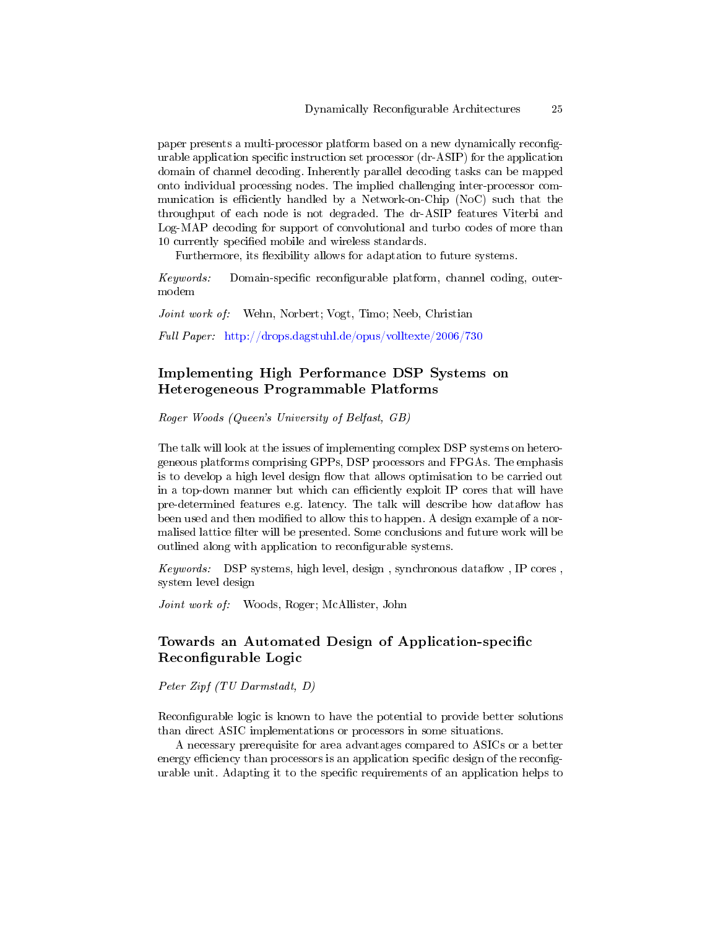paper presents a multi-processor platform based on a new dynamically recongurable application specific instruction set processor (dr-ASIP) for the application domain of channel decoding. Inherently parallel decoding tasks can be mapped onto individual processing nodes. The implied challenging inter-processor communication is efficiently handled by a Network-on-Chip  $(NoC)$  such that the throughput of each node is not degraded. The dr-ASIP features Viterbi and Log-MAP decoding for support of convolutional and turbo codes of more than 10 currently specified mobile and wireless standards.

Furthermore, its flexibility allows for adaptation to future systems.

 $Keywords:$  Domain-specific reconfigurable platform, channel coding, outermodem

Joint work of: Wehn, Norbert; Vogt, Timo; Neeb, Christian

Full Paper: <http://drops.dagstuhl.de/opus/volltexte/2006/730>

# Implementing High Performance DSP Systems on Heterogeneous Programmable Platforms

Roger Woods (Queen's University of Belfast, GB)

The talk will look at the issues of implementing complex DSP systems on heterogeneous platforms comprising GPPs, DSP processors and FPGAs. The emphasis is to develop a high level design flow that allows optimisation to be carried out in a top-down manner but which can efficiently exploit IP cores that will have pre-determined features e.g. latency. The talk will describe how dataflow has been used and then modified to allow this to happen. A design example of a normalised lattice filter will be presented. Some conclusions and future work will be outlined along with application to reconfigurable systems.

Keywords: DSP systems, high level, design, synchronous dataflow, IP cores, system level design

Joint work of: Woods, Roger; McAllister, John

# Towards an Automated Design of Application-specific Reconfigurable Logic

Peter Zipf (TU Darmstadt, D)

Reconfigurable logic is known to have the potential to provide better solutions than direct ASIC implementations or processors in some situations.

A necessary prerequisite for area advantages compared to ASICs or a better energy efficiency than processors is an application specific design of the reconfigurable unit. Adapting it to the specific requirements of an application helps to